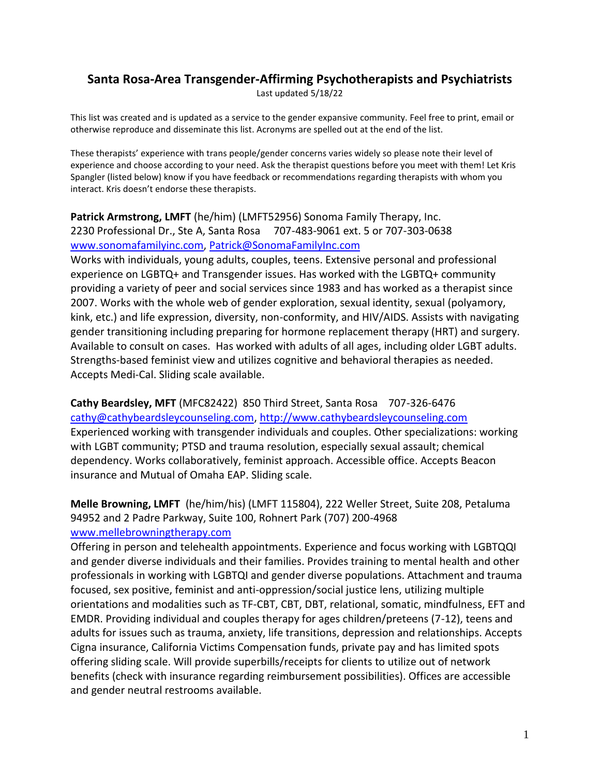# **Santa Rosa-Area Transgender-Affirming Psychotherapists and Psychiatrists**

Last updated 5/18/22

This list was created and is updated as a service to the gender expansive community. Feel free to print, email or otherwise reproduce and disseminate this list. Acronyms are spelled out at the end of the list.

These therapists' experience with trans people/gender concerns varies widely so please note their level of experience and choose according to your need. Ask the therapist questions before you meet with them! Let Kris Spangler (listed below) know if you have feedback or recommendations regarding therapists with whom you interact. Kris doesn't endorse these therapists.

#### **Patrick Armstrong, LMFT** (he/him) (LMFT52956) Sonoma Family Therapy, Inc. 2230 Professional Dr., Ste A, Santa Rosa 707-483-9061 ext. 5 or 707-303-0638 [www.sonomafamilyinc.com,](https://d.docs.live.net/AppData/Roaming/AppData/Roaming/AppData/Local/Temp/www.sonomafamilyinc.com) [Patrick@SonomaFamilyInc.com](https://d.docs.live.net/AppData/Roaming/AppData/Roaming/Microsoft/Word/Patrick@SonomaFamilyInc.com)

Works with individuals, young adults, couples, teens. Extensive personal and professional experience on LGBTQ+ and Transgender issues. Has worked with the LGBTQ+ community providing a variety of peer and social services since 1983 and has worked as a therapist since 2007. Works with the whole web of gender exploration, sexual identity, sexual (polyamory, kink, etc.) and life expression, diversity, non-conformity, and HIV/AIDS. Assists with navigating gender transitioning including preparing for hormone replacement therapy (HRT) and surgery. Available to consult on cases. Has worked with adults of all ages, including older LGBT adults. Strengths-based feminist view and utilizes cognitive and behavioral therapies as needed. Accepts Medi-Cal. Sliding scale available.

**Cathy Beardsley, MFT** (MFC82422) 850 Third Street, Santa Rosa 707-326-6476 [cathy@cathybeardsleycounseling.com,](https://d.docs.live.net/AppData/Roaming/AppData/Roaming/AppData/Local/Temp/cathy@cathybeardsleycounseling.com) [http://www.cathybeardsleycounseling.com](http://www.cathybeardsleycounseling.com/) Experienced working with transgender individuals and couples. Other specializations: working with LGBT community; PTSD and trauma resolution, especially sexual assault; chemical dependency. Works collaboratively, feminist approach. Accessible office. Accepts Beacon insurance and Mutual of Omaha EAP. Sliding scale.

**Melle Browning, LMFT** (he/him/his) (LMFT 115804), 222 Weller Street, Suite 208, Petaluma 94952 and 2 Padre Parkway, Suite 100, Rohnert Park (707) 200-4968 [www.mellebrowningtherapy.com](http://www.mellebrowningtherapy.com/)

Offering in person and telehealth appointments. Experience and focus working with LGBTQQI and gender diverse individuals and their families. Provides training to mental health and other professionals in working with LGBTQI and gender diverse populations. Attachment and trauma focused, sex positive, feminist and anti-oppression/social justice lens, utilizing multiple orientations and modalities such as TF-CBT, CBT, DBT, relational, somatic, mindfulness, EFT and EMDR. Providing individual and couples therapy for ages children/preteens (7-12), teens and adults for issues such as trauma, anxiety, life transitions, depression and relationships. Accepts Cigna insurance, California Victims Compensation funds, private pay and has limited spots offering sliding scale. Will provide superbills/receipts for clients to utilize out of network benefits (check with insurance regarding reimbursement possibilities). Offices are accessible and gender neutral restrooms available.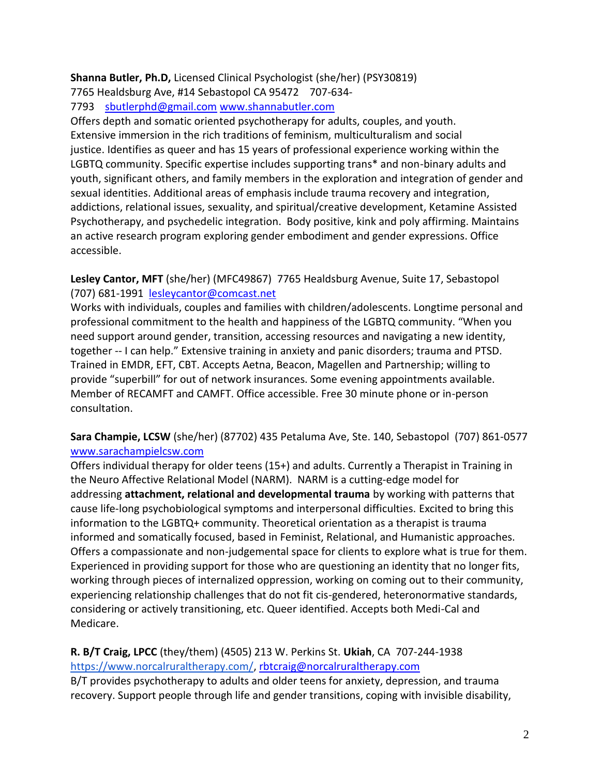## **Shanna Butler, Ph.D,** Licensed Clinical Psychologist (she/her) (PSY30819)

7765 Healdsburg Ave, #14 Sebastopol CA 95472 707-634-

7793 [sbutlerphd@gmail.com](mailto:sbutlerphd@gmail.com) [www.shannabutler.com](http://www.shannabutler.com/)

Offers depth and somatic oriented psychotherapy for adults, couples, and youth. Extensive immersion in the rich traditions of feminism, multiculturalism and social justice. Identifies as queer and has 15 years of professional experience working within the LGBTQ community. Specific expertise includes supporting trans\* and non-binary adults and youth, significant others, and family members in the exploration and integration of gender and sexual identities. Additional areas of emphasis include trauma recovery and integration, addictions, relational issues, sexuality, and spiritual/creative development, Ketamine Assisted Psychotherapy, and psychedelic integration. Body positive, kink and poly affirming. Maintains an active research program exploring gender embodiment and gender expressions. Office accessible.

## **Lesley Cantor, MFT** (she/her) (MFC49867) 7765 Healdsburg Avenue, Suite 17, Sebastopol (707) 681-1991 [lesleycantor@comcast.net](mailto:lesleycantor@comcast.net)

Works with individuals, couples and families with children/adolescents. Longtime personal and professional commitment to the health and happiness of the LGBTQ community. "When you need support around gender, transition, accessing resources and navigating a new identity, together -- I can help." Extensive training in anxiety and panic disorders; trauma and PTSD. Trained in EMDR, EFT, CBT. Accepts Aetna, Beacon, Magellen and Partnership; willing to provide "superbill" for out of network insurances. Some evening appointments available. Member of RECAMFT and CAMFT. Office accessible. Free 30 minute phone or in-person consultation.

# **Sara Champie, LCSW** (she/her) (87702) 435 Petaluma Ave, Ste. 140, Sebastopol (707) 861-0577 [www.sarachampielcsw.com](http://www.sarachampielcsw.com/)

Offers individual therapy for older teens (15+) and adults. Currently a Therapist in Training in the Neuro Affective Relational Model (NARM). NARM is a cutting-edge model for addressing **attachment, relational and developmental trauma** by working with patterns that cause life-long psychobiological symptoms and interpersonal difficulties. Excited to bring this information to the LGBTQ+ community. Theoretical orientation as a therapist is trauma informed and somatically focused, based in Feminist, Relational, and Humanistic approaches. Offers a compassionate and non-judgemental space for clients to explore what is true for them. Experienced in providing support for those who are questioning an identity that no longer fits, working through pieces of internalized oppression, working on coming out to their community, experiencing relationship challenges that do not fit cis-gendered, heteronormative standards, considering or actively transitioning, etc. Queer identified. Accepts both Medi-Cal and Medicare.

# **R. B/T Craig, LPCC** (they/them) (4505) 213 W. Perkins St. **Ukiah**, CA 707-244-1938 [https://www.norcalruraltherapy.com/,](https://www.norcalruraltherapy.com/) [rbtcraig@norcalruraltherapy.com](mailto:rbtcraig@norcalruraltherapy.com)

B/T provides psychotherapy to adults and older teens for anxiety, depression, and trauma recovery. Support people through life and gender transitions, coping with invisible disability,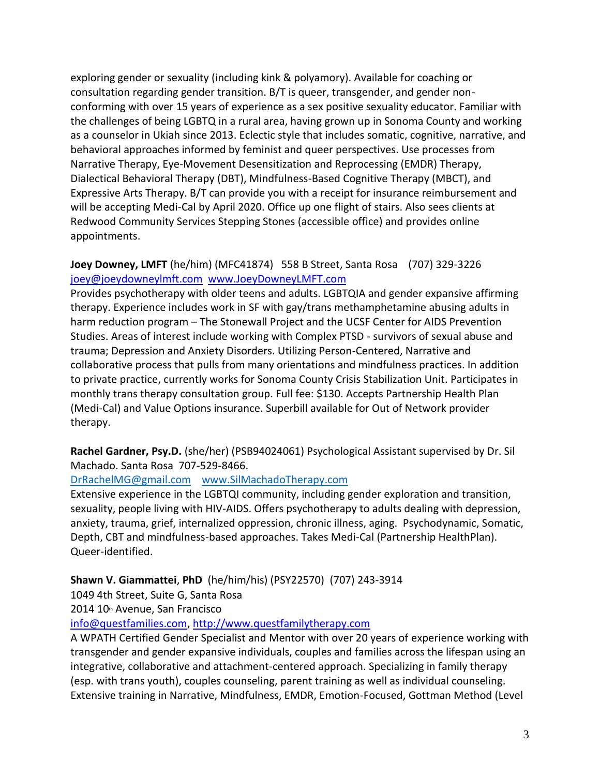exploring gender or sexuality (including kink & polyamory). Available for coaching or consultation regarding gender transition. B/T is queer, transgender, and gender nonconforming with over 15 years of experience as a sex positive sexuality educator. Familiar with the challenges of being LGBTQ in a rural area, having grown up in Sonoma County and working as a counselor in Ukiah since 2013. Eclectic style that includes somatic, cognitive, narrative, and behavioral approaches informed by feminist and queer perspectives. Use processes from Narrative Therapy, Eye-Movement Desensitization and Reprocessing (EMDR) Therapy, Dialectical Behavioral Therapy (DBT), Mindfulness-Based Cognitive Therapy (MBCT), and Expressive Arts Therapy. B/T can provide you with a receipt for insurance reimbursement and will be accepting Medi-Cal by April 2020. Office up one flight of stairs. Also sees clients at Redwood Community Services Stepping Stones (accessible office) and provides online appointments.

## **Joey Downey, LMFT** (he/him) (MFC41874) 558 B Street, Santa Rosa (707) 329-3226 [joey@joeydowneylmft.com](mailto:joey@joeydowneylmft.com) [www.JoeyDowneyLMFT.com](http://www.joeydowneylmft.com/)

Provides psychotherapy with older teens and adults. LGBTQIA and gender expansive affirming therapy. Experience includes work in SF with gay/trans methamphetamine abusing adults in harm reduction program – The Stonewall Project and the UCSF Center for AIDS Prevention Studies. Areas of interest include working with Complex PTSD - survivors of sexual abuse and trauma; Depression and Anxiety Disorders. Utilizing Person-Centered, Narrative and collaborative process that pulls from many orientations and mindfulness practices. In addition to private practice, currently works for Sonoma County Crisis Stabilization Unit. Participates in monthly trans therapy consultation group. Full fee: \$130. Accepts Partnership Health Plan (Medi-Cal) and Value Options insurance. Superbill available for Out of Network provider therapy.

**Rachel Gardner, Psy.D.** (she/her) (PSB94024061) Psychological Assistant supervised by Dr. Sil Machado. Santa Rosa 707-529-8466.

#### [DrRachelMG@gmail.com](mailto:DrRachelMG@gmail.com) [www.SilMachadoTherapy.com](http://www.silmachadotherapy.com/)

Extensive experience in the LGBTQI community, including gender exploration and transition, sexuality, people living with HIV-AIDS. Offers psychotherapy to adults dealing with depression, anxiety, trauma, grief, internalized oppression, chronic illness, aging. Psychodynamic, Somatic, Depth, CBT and mindfulness-based approaches. Takes Medi-Cal (Partnership HealthPlan). Queer-identified.

**Shawn V. Giammattei**, **PhD** (he/him/his) (PSY22570) (707) 243-3914

1049 4th Street, Suite G, Santa Rosa

2014 10th Avenue, San Francisco

[info@questfamilies.com,](mailto:info@questfamilies.com) [http://www.questfamilytherapy.com](http://www.questfamilytherapy.com/) 

A WPATH Certified Gender Specialist and Mentor with over 20 years of experience working with transgender and gender expansive individuals, couples and families across the lifespan using an integrative, collaborative and attachment-centered approach. Specializing in family therapy (esp. with trans youth), couples counseling, parent training as well as individual counseling. Extensive training in Narrative, Mindfulness, EMDR, Emotion-Focused, Gottman Method (Level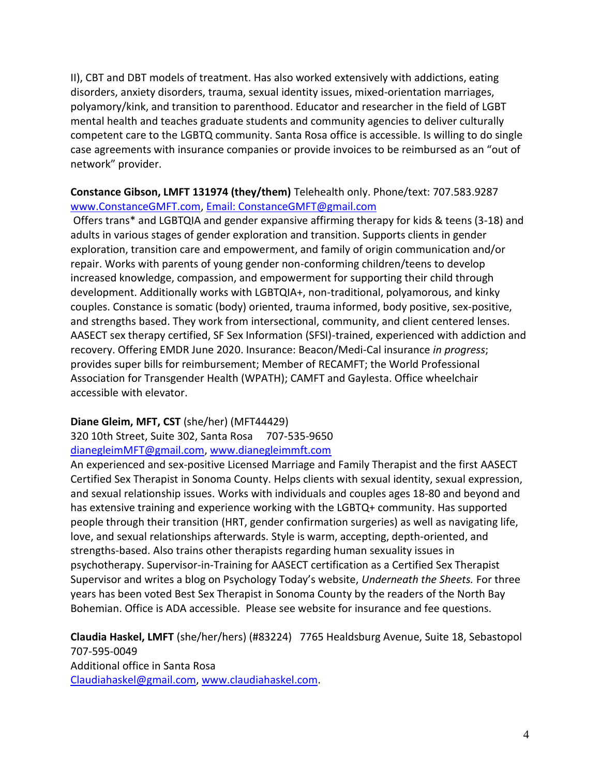II), CBT and DBT models of treatment. Has also worked extensively with addictions, eating disorders, anxiety disorders, trauma, sexual identity issues, mixed-orientation marriages, polyamory/kink, and transition to parenthood. Educator and researcher in the field of LGBT mental health and teaches graduate students and community agencies to deliver culturally competent care to the LGBTQ community. Santa Rosa office is accessible. Is willing to do single case agreements with insurance companies or provide invoices to be reimbursed as an "out of network" provider.

#### **Constance Gibson, LMFT 131974 (they/them)** Telehealth only. Phone/text: 707.583.9287 [www.ConstanceGMFT.com,](http://www.constancegmft.com/) [Email: ConstanceGMFT@gmail.com](mailto:Email:%20ConstanceGMFT@gmail.com)

Offers trans\* and LGBTQIA and gender expansive affirming therapy for kids & teens (3-18) and adults in various stages of gender exploration and transition. Supports clients in gender exploration, transition care and empowerment, and family of origin communication and/or repair. Works with parents of young gender non-conforming children/teens to develop increased knowledge, compassion, and empowerment for supporting their child through development. Additionally works with LGBTQIA+, non-traditional, polyamorous, and kinky couples. Constance is somatic (body) oriented, trauma informed, body positive, sex-positive, and strengths based. They work from intersectional, community, and client centered lenses. AASECT sex therapy certified, SF Sex Information (SFSI)-trained, experienced with addiction and recovery. Offering EMDR June 2020. Insurance: Beacon/Medi-Cal insurance *in progress*; provides super bills for reimbursement; Member of RECAMFT; the World Professional Association for Transgender Health (WPATH); CAMFT and Gaylesta. Office wheelchair accessible with elevator.

# **Diane Gleim, MFT, CST** (she/her) (MFT44429)

320 10th Street, Suite 302, Santa Rosa [707-535-9650](tel:%28707%29%20535-9650) [dianegleimMFT@gmail.com,](https://d.docs.live.net/AppData/Roaming/AppData/Roaming/AppData/Local/Temp/dianegleimMFT@gmail.com) [www.dianegleimmft.com](https://d.docs.live.net/AppData/Roaming/AppData/Roaming/AppData/Local/Temp/www.dianegleimmft.com)

An experienced and sex-positive Licensed Marriage and Family Therapist and the first AASECT Certified Sex Therapist in Sonoma County. Helps clients with sexual identity, sexual expression, and sexual relationship issues. Works with individuals and couples ages 18-80 and beyond and has extensive training and experience working with the LGBTQ+ community. Has supported people through their transition (HRT, gender confirmation surgeries) as well as navigating life, love, and sexual relationships afterwards. Style is warm, accepting, depth-oriented, and strengths-based. Also trains other therapists regarding human sexuality issues in psychotherapy. Supervisor-in-Training for AASECT certification as a Certified Sex Therapist Supervisor and writes a blog on Psychology Today's website, *Underneath the Sheets.* For three years has been voted Best Sex Therapist in Sonoma County by the readers of the North Bay Bohemian. Office is ADA accessible. Please see website for insurance and fee questions.

**Claudia Haskel, LMFT** (she/her/hers) (#83224) 7765 Healdsburg Avenue, Suite 18, Sebastopol 707-595-0049 Additional office in Santa Rosa [Claudiahaskel@gmail.com,](mailto:diahaskel@gmail.com) [www.claudiahaskel.com.](http://www.claudiahaskel.com/)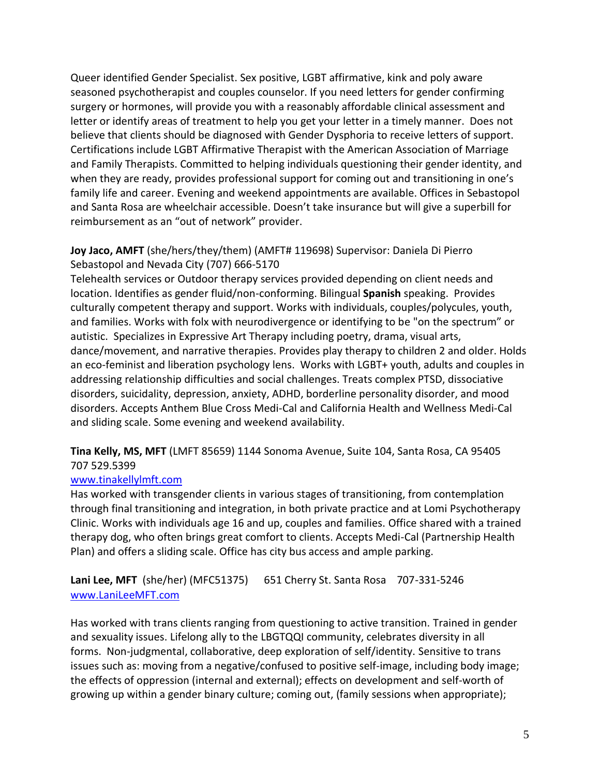Queer identified Gender Specialist. Sex positive, LGBT affirmative, kink and poly aware seasoned psychotherapist and couples counselor. If you need letters for gender confirming surgery or hormones, will provide you with a reasonably affordable clinical assessment and letter or identify areas of treatment to help you get your letter in a timely manner. Does not believe that clients should be diagnosed with Gender Dysphoria to receive letters of support. Certifications include LGBT Affirmative Therapist with the American Association of Marriage and Family Therapists. Committed to helping individuals questioning their gender identity, and when they are ready, provides professional support for coming out and transitioning in one's family life and career. Evening and weekend appointments are available. Offices in Sebastopol and Santa Rosa are wheelchair accessible. Doesn't take insurance but will give a superbill for reimbursement as an "out of network" provider.

## **Joy Jaco, AMFT** (she/hers/they/them) (AMFT# 119698) Supervisor: Daniela Di Pierro Sebastopol and Nevada City (707) 666-5170

Telehealth services or Outdoor therapy services provided depending on client needs and location. Identifies as gender fluid/non-conforming. Bilingual **Spanish** speaking. Provides culturally competent therapy and support. Works with individuals, couples/polycules, youth, and families. Works with folx with neurodivergence or identifying to be "on the spectrum" or autistic. Specializes in Expressive Art Therapy including poetry, drama, visual arts, dance/movement, and narrative therapies. Provides play therapy to children 2 and older. Holds an eco-feminist and liberation psychology lens. Works with LGBT+ youth, adults and couples in addressing relationship difficulties and social challenges. Treats complex PTSD, dissociative disorders, suicidality, depression, anxiety, ADHD, borderline personality disorder, and mood disorders. Accepts Anthem Blue Cross Medi-Cal and California Health and Wellness Medi-Cal and sliding scale. Some evening and weekend availability.

**Tina Kelly, MS, MFT** (LMFT 85659) 1144 Sonoma Avenue, Suite 104, Santa Rosa, CA 95405 707 529.5399

#### [www.tinakellylmft.com](https://d.docs.live.net/AppData/Roaming/AppData/Roaming/AppData/Local/Temp/www.tinakellylmft.com)

Has worked with transgender clients in various stages of transitioning, from contemplation through final transitioning and integration, in both private practice and at Lomi Psychotherapy Clinic. Works with individuals age 16 and up, couples and families. Office shared with a trained therapy dog, who often brings great comfort to clients. Accepts Medi-Cal (Partnership Health Plan) and offers a sliding scale. Office has city bus access and ample parking.

**Lani Lee, MFT** (she/her) (MFC51375) 651 Cherry St. Santa Rosa 707-331-5246 [www.LaniLeeMFT.com](mailto:LaniLeeMFT.com)

Has worked with trans clients ranging from questioning to active transition. Trained in gender and sexuality issues. Lifelong ally to the LBGTQQI community, celebrates diversity in all forms. Non-judgmental, collaborative, deep exploration of self/identity. Sensitive to trans issues such as: moving from a negative/confused to positive self-image, including body image; the effects of oppression (internal and external); effects on development and self-worth of growing up within a gender binary culture; coming out, (family sessions when appropriate);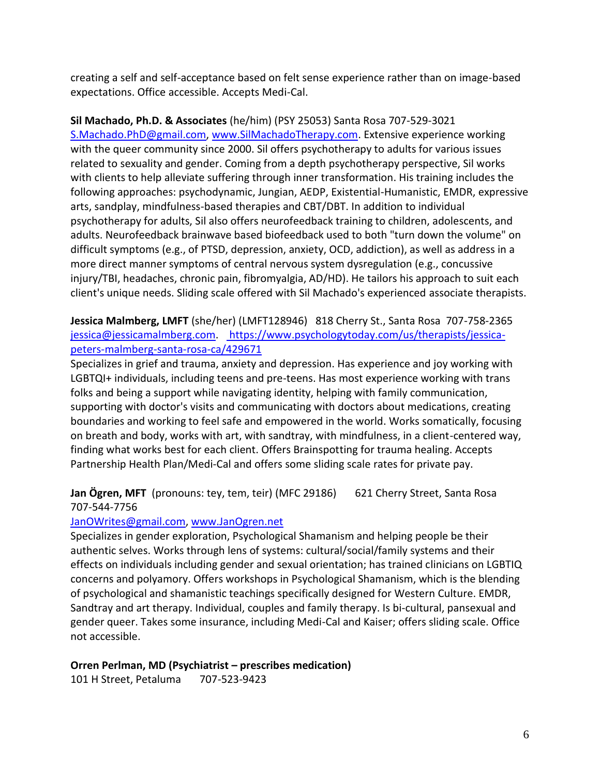creating a self and self-acceptance based on felt sense experience rather than on image-based expectations. Office accessible. Accepts Medi-Cal.

**Sil Machado, Ph.D. & Associates** (he/him) (PSY 25053) Santa Rosa 707-529-3021 [S.Machado.PhD@gmail.com,](mailto:S.Machado.PhD@gmail.com) [www.SilMachadoTherapy.com.](http://www.silmachadotherapy.com/) Extensive experience working with the queer community since 2000. Sil offers psychotherapy to adults for various issues related to sexuality and gender. Coming from a depth psychotherapy perspective, Sil works with clients to help alleviate suffering through inner transformation. His training includes the following approaches: psychodynamic, Jungian, AEDP, Existential-Humanistic, EMDR, expressive arts, sandplay, mindfulness-based therapies and CBT/DBT. In addition to individual psychotherapy for adults, Sil also offers neurofeedback training to children, adolescents, and adults. Neurofeedback brainwave based biofeedback used to both "turn down the volume" on difficult symptoms (e.g., of PTSD, depression, anxiety, OCD, addiction), as well as address in a more direct manner symptoms of central nervous system dysregulation (e.g., concussive injury/TBI, headaches, chronic pain, fibromyalgia, AD/HD). He tailors his approach to suit each client's unique needs. Sliding scale offered with Sil Machado's experienced associate therapists.

**Jessica Malmberg, LMFT** (she/her) (LMFT128946) 818 Cherry St., Santa Rosa 707-758-2365 [jessica@jessicamalmberg.com.](mailto:jessica@jessicamalmberg.com) [https://www.psychologytoday.com/us/therapists/jessica](https://www.psychologytoday.com/us/therapists/jessica-peters-malmberg-santa-rosa-ca/429671)[peters-malmberg-santa-rosa-ca/429671](https://www.psychologytoday.com/us/therapists/jessica-peters-malmberg-santa-rosa-ca/429671)

Specializes in grief and trauma, anxiety and depression. Has experience and joy working with LGBTQI+ individuals, including teens and pre-teens. Has most experience working with trans folks and being a support while navigating identity, helping with family communication, supporting with doctor's visits and communicating with doctors about medications, creating boundaries and working to feel safe and empowered in the world. Works somatically, focusing on breath and body, works with art, with sandtray, with mindfulness, in a client-centered way, finding what works best for each client. Offers Brainspotting for trauma healing. Accepts Partnership Health Plan/Medi-Cal and offers some sliding scale rates for private pay.

**Jan Ögren, MFT** (pronouns: tey, tem, teir) (MFC 29186) 621 Cherry Street, Santa Rosa 707-544-7756

#### [JanOWrites@gmail.com,](https://d.docs.live.net/AppData/Roaming/AppData/Roaming/AppData/Local/Temp/JanOWrites@gmail.com) [www.JanOgren.net](https://d.docs.live.net/AppData/Roaming/AppData/Roaming/AppData/Local/Temp/www.JanOgren.net)

Specializes in gender exploration, Psychological Shamanism and helping people be their authentic selves. Works through lens of systems: cultural/social/family systems and their effects on individuals including gender and sexual orientation; has trained clinicians on LGBTIQ concerns and polyamory. Offers workshops in Psychological Shamanism, which is the blending of psychological and shamanistic teachings specifically designed for Western Culture. EMDR, Sandtray and art therapy. Individual, couples and family therapy. Is bi-cultural, pansexual and gender queer. Takes some insurance, including Medi-Cal and Kaiser; offers sliding scale. Office not accessible.

**Orren Perlman, MD (Psychiatrist – prescribes medication)**

101 H Street, Petaluma 707-523-9423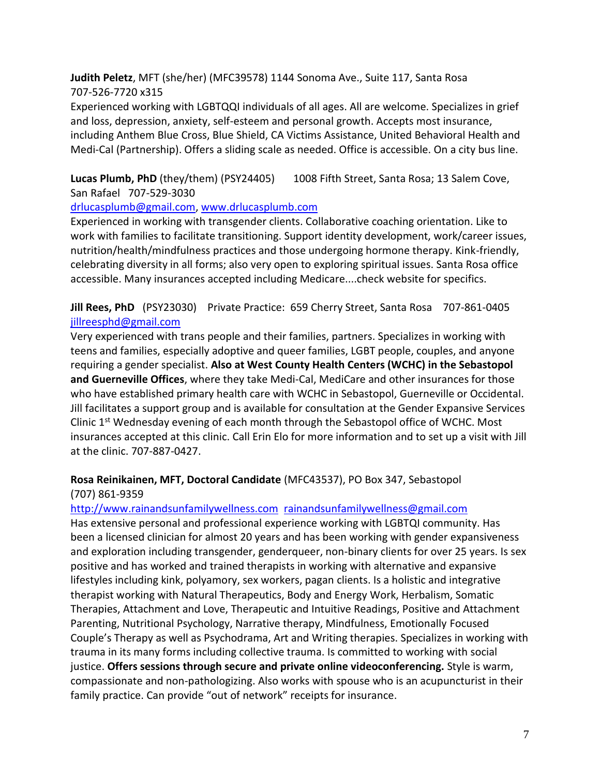**Judith Peletz**, MFT (she/her) (MFC39578) 1144 Sonoma Ave., Suite 117, Santa Rosa 707-526-7720 x315

Experienced working with LGBTQQI individuals of all ages. All are welcome. Specializes in grief and loss, depression, anxiety, self-esteem and personal growth. Accepts most insurance, including Anthem Blue Cross, Blue Shield, CA Victims Assistance, United Behavioral Health and Medi-Cal (Partnership). Offers a sliding scale as needed. Office is accessible. On a city bus line.

Lucas Plumb, PhD (they/them) (PSY24405) 1008 Fifth Street, Santa Rosa; 13 Salem Cove, San Rafael 707-529-3030

#### [drlucasplumb@gmail.com,](https://d.docs.live.net/AppData/Roaming/AppData/Roaming/AppData/Local/Temp/drlucasplumb@gmail.com) [www.drlucasplumb.com](https://d.docs.live.net/AppData/Roaming/AppData/Roaming/AppData/Local/Temp/www.drlucasplumb.com)

Experienced in working with transgender clients. Collaborative coaching orientation. Like to work with families to facilitate transitioning. Support identity development, work/career issues, nutrition/health/mindfulness practices and those undergoing hormone therapy. Kink-friendly, celebrating diversity in all forms; also very open to exploring spiritual issues. Santa Rosa office accessible. Many insurances accepted including Medicare....check website for specifics.

**Jill Rees, PhD** (PSY23030)Private Practice: 659 Cherry Street, Santa Rosa 707-861-0405 [jillreesphd@gmail.com](https://d.docs.live.net/AppData/Roaming/AppData/Roaming/AppData/Local/Temp/jillreesphd@gmail.com)

Very experienced with trans people and their families, partners. Specializes in working with teens and families, especially adoptive and queer families, LGBT people, couples, and anyone requiring a gender specialist. **Also at West County Health Centers (WCHC) in the Sebastopol and Guerneville Offices**, where they take Medi-Cal, MediCare and other insurances for those who have established primary health care with WCHC in Sebastopol, Guerneville or Occidental. Jill facilitates a support group and is available for consultation at the Gender Expansive Services Clinic 1<sup>st</sup> Wednesday evening of each month through the Sebastopol office of WCHC. Most insurances accepted at this clinic. Call Erin Elo for more information and to set up a visit with Jill at the clinic. 707-887-0427.

# **Rosa Reinikainen, MFT, Doctoral Candidate** (MFC43537), PO Box 347, Sebastopol (707) 861-9359

#### [http://www.rainandsunfamilywellness.com](http://www.rainandsunfamilywellness.com/) [rainandsunfamilywellness@gmail.com](mailto:rainandsunfamilywellness@gmail.com)

Has extensive personal and professional experience working with LGBTQI community. Has been a licensed clinician for almost 20 years and has been working with gender expansiveness and exploration including transgender, genderqueer, non-binary clients for over 25 years. Is sex positive and has worked and trained therapists in working with alternative and expansive lifestyles including kink, polyamory, sex workers, pagan clients. Is a holistic and integrative therapist working with Natural Therapeutics, Body and Energy Work, Herbalism, Somatic Therapies, Attachment and Love, Therapeutic and Intuitive Readings, Positive and Attachment Parenting, Nutritional Psychology, Narrative therapy, Mindfulness, Emotionally Focused Couple's Therapy as well as Psychodrama, Art and Writing therapies. Specializes in working with trauma in its many forms including collective trauma. Is committed to working with social justice. **Offers sessions through secure and private online videoconferencing.** Style is warm, compassionate and non-pathologizing. Also works with spouse who is an acupuncturist in their family practice. Can provide "out of network" receipts for insurance.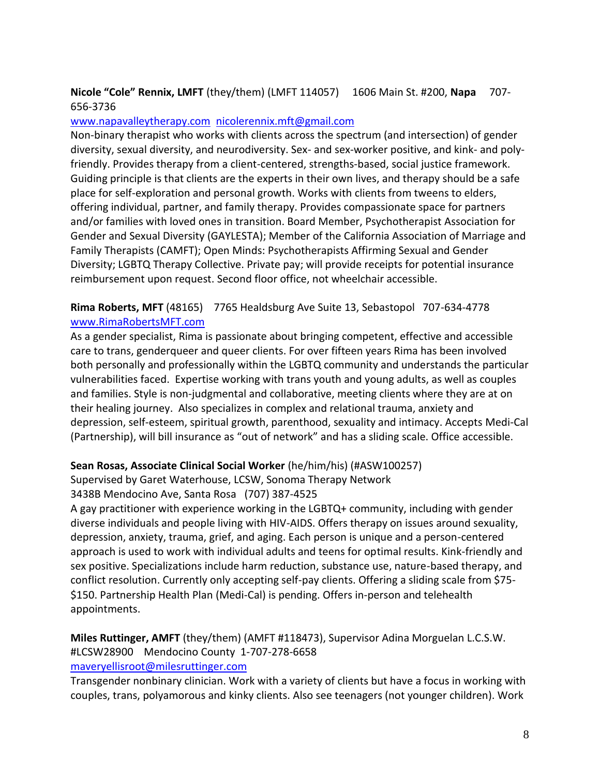## **Nicole "Cole" Rennix, LMFT** (they/them) (LMFT 114057) 1606 Main St. #200, **Napa** 707- 656-3736

#### [www.napavalleytherapy.com](https://d.docs.live.net/416f1b32a33384df/Documents/www.napavalleytherapy.com) [nicolerennix.mft@gmail.com](mailto:nicolerennix.mft@gmail.com)

Non-binary therapist who works with clients across the spectrum (and intersection) of gender diversity, sexual diversity, and neurodiversity. Sex- and sex-worker positive, and kink- and polyfriendly. Provides therapy from a client-centered, strengths-based, social justice framework. Guiding principle is that clients are the experts in their own lives, and therapy should be a safe place for self-exploration and personal growth. Works with clients from tweens to elders, offering individual, partner, and family therapy. Provides compassionate space for partners and/or families with loved ones in transition. Board Member, Psychotherapist Association for Gender and Sexual Diversity (GAYLESTA); Member of the California Association of Marriage and Family Therapists (CAMFT); Open Minds: Psychotherapists Affirming Sexual and Gender Diversity; LGBTQ Therapy Collective. Private pay; will provide receipts for potential insurance reimbursement upon request. Second floor office, not wheelchair accessible.

**Rima Roberts, MFT** (48165) 7765 Healdsburg Ave Suite 13, Sebastopol 707-634-4778 [www.RimaRobertsMFT.com](https://d.docs.live.net/AppData/Roaming/AppData/Roaming/AppData/Local/Temp/www.RimaRobertsMFT.com)

As a gender specialist, Rima is passionate about bringing competent, effective and accessible care to trans, genderqueer and queer clients. For over fifteen years Rima has been involved both personally and professionally within the LGBTQ community and understands the particular vulnerabilities faced. Expertise working with trans youth and young adults, as well as couples and families. Style is non-judgmental and collaborative, meeting clients where they are at on their healing journey. Also specializes in complex and relational trauma, anxiety and depression, self-esteem, spiritual growth, parenthood, sexuality and intimacy. Accepts Medi-Cal (Partnership), will bill insurance as "out of network" and has a sliding scale. Office accessible.

#### **Sean Rosas, Associate Clinical Social Worker** (he/him/his) (#ASW100257)

Supervised by Garet Waterhouse, LCSW, Sonoma Therapy Network

3438B Mendocino Ave, Santa Rosa (707) 387-4525

A gay practitioner with experience working in the LGBTQ+ community, including with gender diverse individuals and people living with HIV-AIDS. Offers therapy on issues around sexuality, depression, anxiety, trauma, grief, and aging. Each person is unique and a person-centered approach is used to work with individual adults and teens for optimal results. Kink-friendly and sex positive. Specializations include harm reduction, substance use, nature-based therapy, and conflict resolution. Currently only accepting self-pay clients. Offering a sliding scale from \$75- \$150. Partnership Health Plan (Medi-Cal) is pending. Offers in-person and telehealth appointments.

**Miles Ruttinger, AMFT** (they/them) (AMFT #118473), Supervisor Adina Morguelan L.C.S.W. #LCSW28900 Mendocino County 1-707-278-6658 <maveryellisroot@milesruttinger.com>

Transgender nonbinary clinician. Work with a variety of clients but have a focus in working with couples, trans, polyamorous and kinky clients. Also see teenagers (not younger children). Work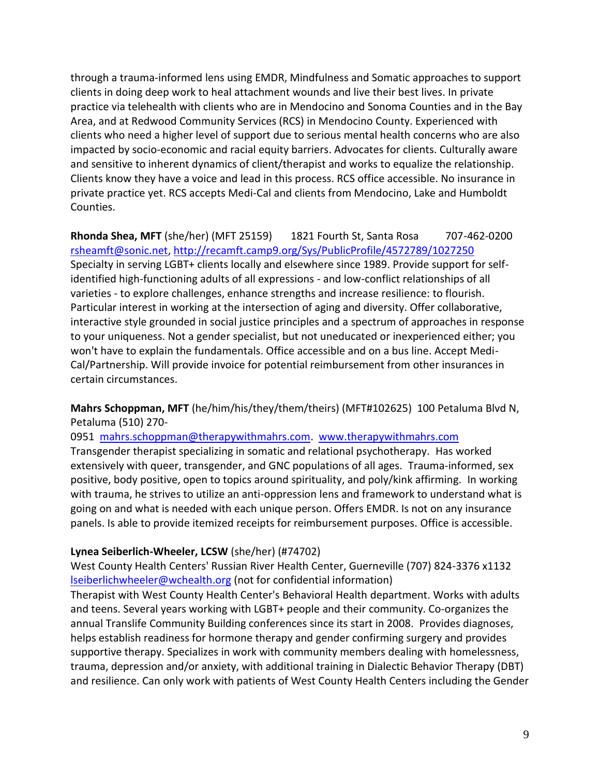through a trauma-informed lens using EMDR, Mindfulness and Somatic approaches to support clients in doing deep work to heal attachment wounds and live their best lives. In private practice via telehealth with clients who are in Mendocino and Sonoma Counties and in the Bay Area, and at Redwood Community Services (RCS) in Mendocino County. Experienced with clients who need a higher level of support due to serious mental health concerns who are also impacted by socio-economic and racial equity barriers. Advocates for clients. Culturally aware and sensitive to inherent dynamics of client/therapist and works to equalize the relationship. Clients know they have a voice and lead in this process. RCS office accessible. No insurance in private practice yet. RCS accepts Medi-Cal and clients from Mendocino, Lake and Humboldt Counties.

**Rhonda Shea, MFT** (she/her) (MFT 25159) 1821 Fourth St, Santa Rosa 707-462-0200 [rsheamft@sonic.net,](mailto:rsheamft@sonic.net)<http://recamft.camp9.org/Sys/PublicProfile/4572789/1027250> Specialty in serving LGBT+ clients locally and elsewhere since 1989. Provide support for selfidentified high-functioning adults of all expressions - and low-conflict relationships of all varieties - to explore challenges, enhance strengths and increase resilience: to flourish. Particular interest in working at the intersection of aging and diversity. Offer collaborative, interactive style grounded in social justice principles and a spectrum of approaches in response to your uniqueness. Not a gender specialist, but not uneducated or inexperienced either; you won't have to explain the fundamentals. Office accessible and on a bus line. Accept Medi-Cal/Partnership. Will provide invoice for potential reimbursement from other insurances in certain circumstances.

**Mahrs Schoppman, MFT** (he/him/his/they/them/theirs) (MFT#102625) 100 Petaluma Blvd N, Petaluma (510) 270-

0951 [mahrs.schoppman@therapywithmahrs.com.](mailto:mahrs.schoppman@therapywithmahrs.com) [www.therapywithmahrs.com](http://www.therapywithmahrs.com/) Transgender therapist specializing in somatic and relational psychotherapy. Has worked extensively with queer, transgender, and GNC populations of all ages. Trauma-informed, sex positive, body positive, open to topics around spirituality, and poly/kink affirming. In working with trauma, he strives to utilize an anti-oppression lens and framework to understand what is going on and what is needed with each unique person. Offers EMDR. Is not on any insurance panels. Is able to provide itemized receipts for reimbursement purposes. Office is accessible.

#### **Lynea Seiberlich-Wheeler, LCSW** (she/her) (#74702)

West County Health Centers' Russian River Health Center, Guerneville (707) 824-3376 x1132 [lseiberlichwheeler@wchealth.org](mailto:lseiberlichwheeler@wchealth.org) (not for confidential information)

Therapist with West County Health Center's Behavioral Health department. Works with adults and teens. Several years working with LGBT+ people and their community. Co-organizes the annual Translife Community Building conferences since its start in 2008. Provides diagnoses, helps establish readiness for hormone therapy and gender confirming surgery and provides supportive therapy. Specializes in work with community members dealing with homelessness, trauma, depression and/or anxiety, with additional training in Dialectic Behavior Therapy (DBT) and resilience. Can only work with patients of West County Health Centers including the Gender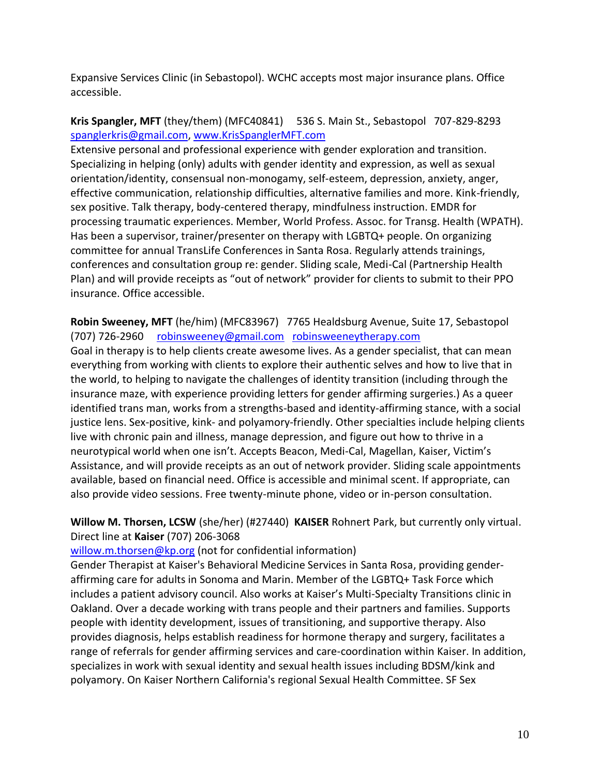Expansive Services Clinic (in Sebastopol). WCHC accepts most major insurance plans. Office accessible.

## **Kris Spangler, MFT** (they/them) (MFC40841) 536 S. Main St., Sebastopol 707-829-8293 [spanglerkris@gmail.com,](https://d.docs.live.net/AppData/Roaming/AppData/Roaming/AppData/Local/Temp/spanglerkris@gmail.com) [www.KrisSpanglerMFT.com](https://d.docs.live.net/AppData/Roaming/AppData/Roaming/AppData/Local/Temp/www.KrisSpanglerMFT.com)

Extensive personal and professional experience with gender exploration and transition. Specializing in helping (only) adults with gender identity and expression, as well as sexual orientation/identity, consensual non-monogamy, self-esteem, depression, anxiety, anger, effective communication, relationship difficulties, alternative families and more. Kink-friendly, sex positive. Talk therapy, body-centered therapy, mindfulness instruction. EMDR for processing traumatic experiences. Member, World Profess. Assoc. for Transg. Health (WPATH). Has been a supervisor, trainer/presenter on therapy with LGBTQ+ people. On organizing committee for annual TransLife Conferences in Santa Rosa. Regularly attends trainings, conferences and consultation group re: gender. Sliding scale, Medi-Cal (Partnership Health Plan) and will provide receipts as "out of network" provider for clients to submit to their PPO insurance. Office accessible.

**Robin Sweeney, MFT** (he/him) (MFC83967) 7765 Healdsburg Avenue, Suite 17, Sebastopol (707) 726-2960 [robinsweeney@gmail.com](mailto:robinsweeney@gmail.com) [robinsweeneytherapy.com](http://robinsweeneytherapy.com/)

Goal in therapy is to help clients create awesome lives. As a gender specialist, that can mean everything from working with clients to explore their authentic selves and how to live that in the world, to helping to navigate the challenges of identity transition (including through the insurance maze, with experience providing letters for gender affirming surgeries.) As a queer identified trans man, works from a strengths-based and identity-affirming stance, with a social justice lens. Sex-positive, kink- and polyamory-friendly. Other specialties include helping clients live with chronic pain and illness, manage depression, and figure out how to thrive in a neurotypical world when one isn't. Accepts Beacon, Medi-Cal, Magellan, Kaiser, Victim's Assistance, and will provide receipts as an out of network provider. Sliding scale appointments available, based on financial need. Office is accessible and minimal scent. If appropriate, can also provide video sessions. Free twenty-minute phone, video or in-person consultation.

**Willow M. Thorsen, LCSW** (she/her) (#27440) **KAISER** Rohnert Park, but currently only virtual. Direct line at **Kaiser** (707) 206-3068

[willow.m.thorsen@kp.org](https://d.docs.live.net/AppData/Roaming/AppData/Roaming/AppData/Local/Temp/willow.m.thorsen@kp.org) (not for confidential information)

Gender Therapist at Kaiser's Behavioral Medicine Services in Santa Rosa, providing genderaffirming care for adults in Sonoma and Marin. Member of the LGBTQ+ Task Force which includes a patient advisory council. Also works at Kaiser's Multi-Specialty Transitions clinic in Oakland. Over a decade working with trans people and their partners and families. Supports people with identity development, issues of transitioning, and supportive therapy. Also provides diagnosis, helps establish readiness for hormone therapy and surgery, facilitates a range of referrals for gender affirming services and care-coordination within Kaiser. In addition, specializes in work with sexual identity and sexual health issues including BDSM/kink and polyamory. On Kaiser Northern California's regional Sexual Health Committee. SF Sex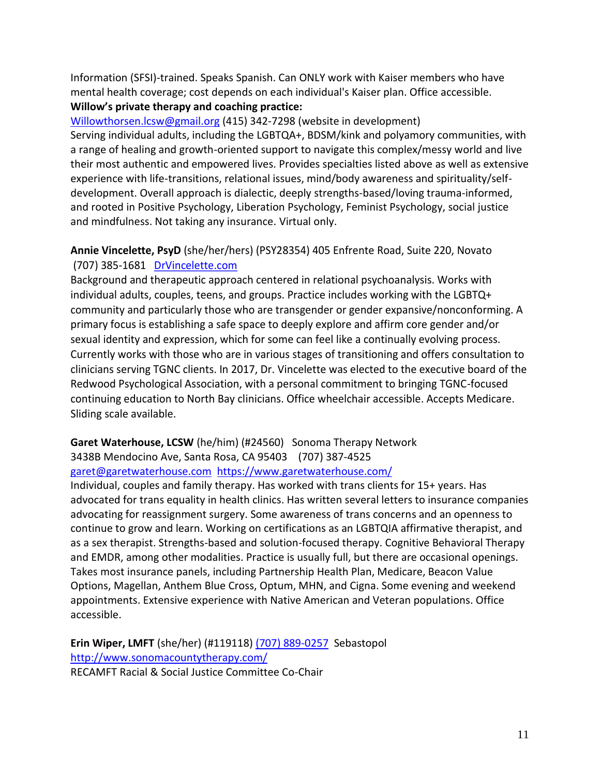Information (SFSI)-trained. Speaks Spanish. Can ONLY work with Kaiser members who have mental health coverage; cost depends on each individual's Kaiser plan. Office accessible. **Willow's private therapy and coaching practice:** 

[Willowthorsen.lcsw@gmail.org](mailto:Willowthorsen.lcsw@gmail.org) (415) 342-7298 (website in development) Serving individual adults, including the LGBTQA+, BDSM/kink and polyamory communities, with a range of healing and growth-oriented support to navigate this complex/messy world and live their most authentic and empowered lives. Provides specialties listed above as well as extensive experience with life-transitions, relational issues, mind/body awareness and spirituality/selfdevelopment. Overall approach is dialectic, deeply strengths-based/loving trauma-informed, and rooted in Positive Psychology, Liberation Psychology, Feminist Psychology, social justice and mindfulness. Not taking any insurance. Virtual only.

## **Annie Vincelette, PsyD** (she/her/hers) (PSY28354) 405 Enfrente Road, Suite 220, Novato (707) 385-1681 DrVincelette.com

Background and therapeutic approach centered in relational psychoanalysis. Works with individual adults, couples, teens, and groups. Practice includes working with the LGBTQ+ community and particularly those who are transgender or gender expansive/nonconforming. A primary focus is establishing a safe space to deeply explore and affirm core gender and/or sexual identity and expression, which for some can feel like a continually evolving process. Currently works with those who are in various stages of transitioning and offers consultation to clinicians serving TGNC clients. In 2017, Dr. Vincelette was elected to the executive board of the Redwood Psychological Association, with a personal commitment to bringing TGNC-focused continuing education to North Bay clinicians. Office wheelchair accessible. Accepts Medicare. Sliding scale available.

# **Garet Waterhouse, LCSW** (he/him) (#24560) Sonoma Therapy Network

3438B Mendocino Ave, Santa Rosa, CA 95403 (707) 387-4525

[garet@garetwaterhouse.com](mailto:garet@garetwaterhouse.com) <https://www.garetwaterhouse.com/>

Individual, couples and family therapy. Has worked with trans clients for 15+ years. Has advocated for trans equality in health clinics. Has written several letters to insurance companies advocating for reassignment surgery. Some awareness of trans concerns and an openness to continue to grow and learn. Working on certifications as an LGBTQIA affirmative therapist, and as a sex therapist. Strengths-based and solution-focused therapy. Cognitive Behavioral Therapy and EMDR, among other modalities. Practice is usually full, but there are occasional openings. Takes most insurance panels, including Partnership Health Plan, Medicare, Beacon Value Options, Magellan, Anthem Blue Cross, Optum, MHN, and Cigna. Some evening and weekend appointments. Extensive experience with Native American and Veteran populations. Office accessible.

**Erin Wiper, LMFT** (she/her) (#119118) [\(707\) 889-0257](tel:(707)%20889-0257) Sebastopol <http://www.sonomacountytherapy.com/> RECAMFT Racial & Social Justice Committee Co-Chair